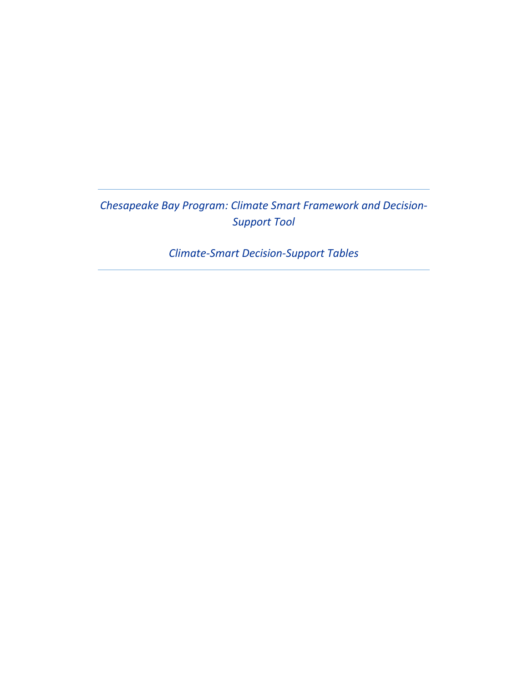*Chesapeake Bay Program: Climate Smart Framework and Decision-Support Tool* 

*Climate-Smart Decision-Support Tables*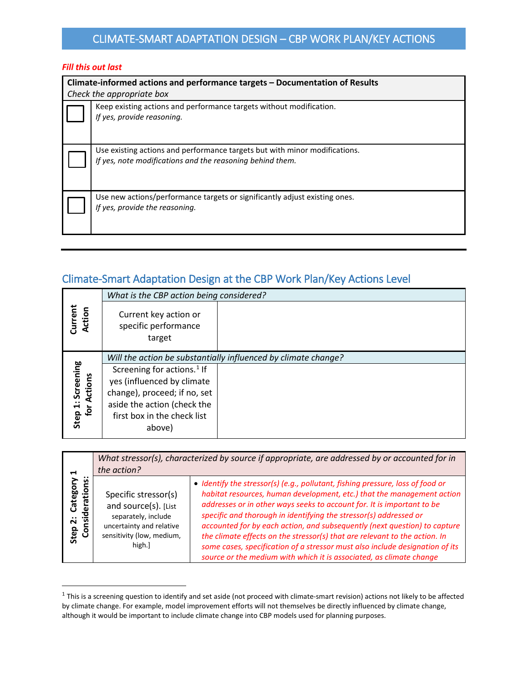#### *Fill this out last*

| Climate-informed actions and performance targets - Documentation of Results<br>Check the appropriate box                                |  |  |
|-----------------------------------------------------------------------------------------------------------------------------------------|--|--|
| Keep existing actions and performance targets without modification.<br>If yes, provide reasoning.                                       |  |  |
| Use existing actions and performance targets but with minor modifications.<br>If yes, note modifications and the reasoning behind them. |  |  |
| Use new actions/performance targets or significantly adjust existing ones.<br>If yes, provide the reasoning.                            |  |  |

## Climate-Smart Adaptation Design at the CBP Work Plan/Key Actions Level

|                                         | What is the CBP action being considered?                |                                                                |
|-----------------------------------------|---------------------------------------------------------|----------------------------------------------------------------|
| Current<br>Action                       | Current key action or<br>specific performance<br>target |                                                                |
|                                         |                                                         | Will the action be substantially influenced by climate change? |
|                                         | Screening for actions. <sup>1</sup> If                  |                                                                |
|                                         | yes (influenced by climate                              |                                                                |
| <b>Step 1: Screening</b><br>for Actions | change), proceed; if no, set                            |                                                                |
|                                         | aside the action (check the                             |                                                                |
|                                         | first box in the check list<br>above)                   |                                                                |
|                                         |                                                         |                                                                |

| ⊣                                                 | the action?                                                                                                                            | What stressor(s), characterized by source if appropriate, are addressed by or accounted for in                                                                                                                                                                                                                                                                                                                                                                                                                                                                                                                            |
|---------------------------------------------------|----------------------------------------------------------------------------------------------------------------------------------------|---------------------------------------------------------------------------------------------------------------------------------------------------------------------------------------------------------------------------------------------------------------------------------------------------------------------------------------------------------------------------------------------------------------------------------------------------------------------------------------------------------------------------------------------------------------------------------------------------------------------------|
| <br>Category<br>ations:<br>sider:<br>Step 2:<br>උ | Specific stressor(s)<br>and source(s). [List<br>separately, include<br>uncertainty and relative<br>sensitivity (low, medium,<br>high.] | · Identify the stressor(s) (e.g., pollutant, fishing pressure, loss of food or<br>habitat resources, human development, etc.) that the management action<br>addresses or in other ways seeks to account for. It is important to be<br>specific and thorough in identifying the stressor(s) addressed or<br>accounted for by each action, and subsequently (next question) to capture<br>the climate effects on the stressor(s) that are relevant to the action. In<br>some cases, specification of a stressor must also include designation of its<br>source or the medium with which it is associated, as climate change |

<span id="page-1-0"></span> $1$  This is a screening question to identify and set aside (not proceed with climate-smart revision) actions not likely to be affected by climate change. For example, model improvement efforts will not themselves be directly influenced by climate change, although it would be important to include climate change into CBP models used for planning purposes.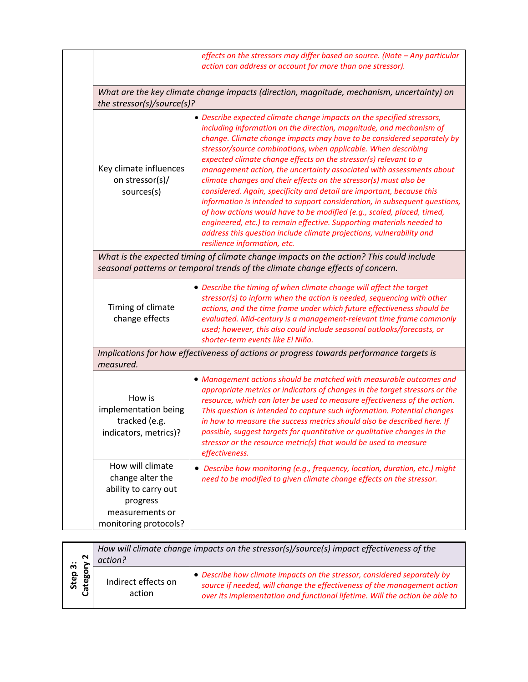|                                                                                             | effects on the stressors may differ based on source. (Note - Any particular<br>action can address or account for more than one stressor).                                                                                                                                                                                                                                                                                                                                                                                                                                                                                                                                                                                                                                                                                                                                                                                    |
|---------------------------------------------------------------------------------------------|------------------------------------------------------------------------------------------------------------------------------------------------------------------------------------------------------------------------------------------------------------------------------------------------------------------------------------------------------------------------------------------------------------------------------------------------------------------------------------------------------------------------------------------------------------------------------------------------------------------------------------------------------------------------------------------------------------------------------------------------------------------------------------------------------------------------------------------------------------------------------------------------------------------------------|
| the stressor(s)/source(s)?                                                                  | What are the key climate change impacts (direction, magnitude, mechanism, uncertainty) on                                                                                                                                                                                                                                                                                                                                                                                                                                                                                                                                                                                                                                                                                                                                                                                                                                    |
| Key climate influences<br>on stressor(s)/<br>sources(s)                                     | • Describe expected climate change impacts on the specified stressors,<br>including information on the direction, magnitude, and mechanism of<br>change. Climate change impacts may have to be considered separately by<br>stressor/source combinations, when applicable. When describing<br>expected climate change effects on the stressor(s) relevant to a<br>management action, the uncertainty associated with assessments about<br>climate changes and their effects on the stressor(s) must also be<br>considered. Again, specificity and detail are important, because this<br>information is intended to support consideration, in subsequent questions,<br>of how actions would have to be modified (e.g., scaled, placed, timed,<br>engineered, etc.) to remain effective. Supporting materials needed to<br>address this question include climate projections, vulnerability and<br>resilience information, etc. |
|                                                                                             | What is the expected timing of climate change impacts on the action? This could include<br>seasonal patterns or temporal trends of the climate change effects of concern.                                                                                                                                                                                                                                                                                                                                                                                                                                                                                                                                                                                                                                                                                                                                                    |
| Timing of climate<br>change effects                                                         | • Describe the timing of when climate change will affect the target<br>stressor(s) to inform when the action is needed, sequencing with other<br>actions, and the time frame under which future effectiveness should be<br>evaluated. Mid-century is a management-relevant time frame commonly<br>used; however, this also could include seasonal outlooks/forecasts, or<br>shorter-term events like El Niño.                                                                                                                                                                                                                                                                                                                                                                                                                                                                                                                |
| measured.                                                                                   | Implications for how effectiveness of actions or progress towards performance targets is                                                                                                                                                                                                                                                                                                                                                                                                                                                                                                                                                                                                                                                                                                                                                                                                                                     |
| How is<br>implementation being<br>tracked (e.g.<br>indicators, metrics)?                    | • Management actions should be matched with measurable outcomes and<br>appropriate metrics or indicators of changes in the target stressors or the<br>resource, which can later be used to measure effectiveness of the action.<br>This question is intended to capture such information. Potential changes<br>in how to measure the success metrics should also be described here. If<br>possible, suggest targets for quantitative or qualitative changes in the<br>stressor or the resource metric(s) that would be used to measure<br>effectiveness.                                                                                                                                                                                                                                                                                                                                                                     |
| How will climate<br>change alter the<br>ability to carry out<br>progress<br>measurements or | • Describe how monitoring (e.g., frequency, location, duration, etc.) might<br>need to be modified to given climate change effects on the stressor.                                                                                                                                                                                                                                                                                                                                                                                                                                                                                                                                                                                                                                                                                                                                                                          |

| $\sim$               | How will climate change impacts on the stressor(s)/source(s) impact effectiveness of the<br>action? |                                                                                                                                                                                                                                     |
|----------------------|-----------------------------------------------------------------------------------------------------|-------------------------------------------------------------------------------------------------------------------------------------------------------------------------------------------------------------------------------------|
| Step 3:<br>50<br>ate | Indirect effects on<br>action                                                                       | • Describe how climate impacts on the stressor, considered separately by<br>source if needed, will change the effectiveness of the management action<br>over its implementation and functional lifetime. Will the action be able to |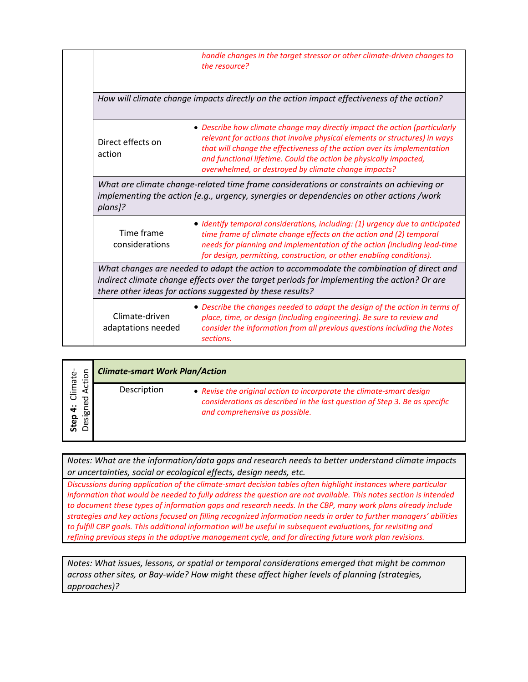|                                                                                                                                                                                                                                                      | handle changes in the target stressor or other climate-driven changes to<br>the resource?                                                                                                                                                                                                                                                                         |
|------------------------------------------------------------------------------------------------------------------------------------------------------------------------------------------------------------------------------------------------------|-------------------------------------------------------------------------------------------------------------------------------------------------------------------------------------------------------------------------------------------------------------------------------------------------------------------------------------------------------------------|
|                                                                                                                                                                                                                                                      | How will climate change impacts directly on the action impact effectiveness of the action?                                                                                                                                                                                                                                                                        |
| Direct effects on<br>action                                                                                                                                                                                                                          | • Describe how climate change may directly impact the action (particularly<br>relevant for actions that involve physical elements or structures) in ways<br>that will change the effectiveness of the action over its implementation<br>and functional lifetime. Could the action be physically impacted,<br>overwhelmed, or destroyed by climate change impacts? |
| What are climate change-related time frame considerations or constraints on achieving or<br>implementing the action [e.g., urgency, synergies or dependencies on other actions /work<br>plans]?                                                      |                                                                                                                                                                                                                                                                                                                                                                   |
| Time frame<br>considerations                                                                                                                                                                                                                         | • Identify temporal considerations, including: (1) urgency due to anticipated<br>time frame of climate change effects on the action and (2) temporal<br>needs for planning and implementation of the action (including lead-time<br>for design, permitting, construction, or other enabling conditions).                                                          |
| What changes are needed to adapt the action to accommodate the combination of direct and<br>indirect climate change effects over the target periods for implementing the action? Or are<br>there other ideas for actions suggested by these results? |                                                                                                                                                                                                                                                                                                                                                                   |
| Climate-driven<br>adaptations needed                                                                                                                                                                                                                 | • Describe the changes needed to adapt the design of the action in terms of<br>place, time, or design (including engineering). Be sure to review and<br>consider the information from all previous questions including the Notes<br>sections.                                                                                                                     |

| ۽                                                       | <b>Climate-smart Work Plan/Action</b> |                                                                                                                                                                                      |
|---------------------------------------------------------|---------------------------------------|--------------------------------------------------------------------------------------------------------------------------------------------------------------------------------------|
| Climate-<br>$\overline{\sigma}$<br>igo.<br>Step<br>Desi | Description                           | • Revise the original action to incorporate the climate-smart design<br>considerations as described in the last question of Step 3. Be as specific<br>and comprehensive as possible. |

*Notes: What are the information/data gaps and research needs to better understand climate impacts or uncertainties, social or ecological effects, design needs, etc.*

*Discussions during application of the climate-smart decision tables often highlight instances where particular information that would be needed to fully address the question are not available. This notes section is intended to document these types of information gaps and research needs. In the CBP, many work plans already include strategies and key actions focused on filling recognized information needs in order to further managers' abilities to fulfill CBP goals. This additional information will be useful in subsequent evaluations, for revisiting and refining previous steps in the adaptive management cycle, and for directing future work plan revisions.*

*Notes: What issues, lessons, or spatial or temporal considerations emerged that might be common across other sites, or Bay-wide? How might these affect higher levels of planning (strategies, approaches)?*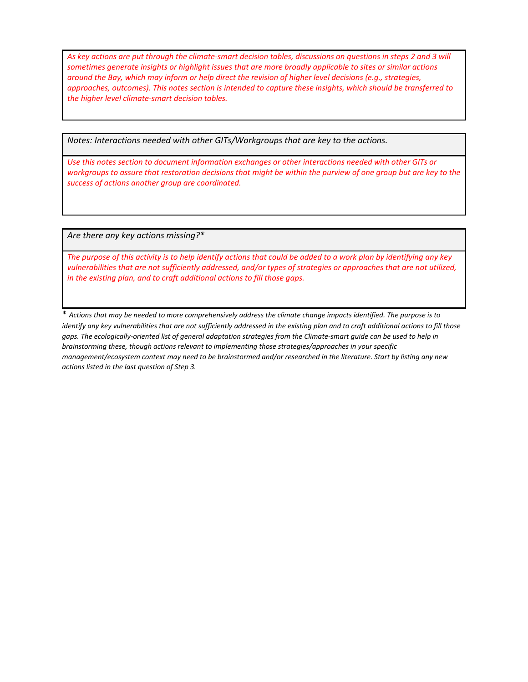*As key actions are put through the climate-smart decision tables, discussions on questions in steps 2 and 3 will sometimes generate insights or highlight issues that are more broadly applicable to sites or similar actions around the Bay, which may inform or help direct the revision of higher level decisions (e.g., strategies, approaches, outcomes). This notes section is intended to capture these insights, which should be transferred to the higher level climate-smart decision tables.* 

*Notes: Interactions needed with other GITs/Workgroups that are key to the actions.*

*Use this notes section to document information exchanges or other interactions needed with other GITs or workgroups to assure that restoration decisions that might be within the purview of one group but are key to the success of actions another group are coordinated.*

*Are there any key actions missing?\**

*The purpose of this activity is to help identify actions that could be added to a work plan by identifying any key vulnerabilities that are not sufficiently addressed, and/or types of strategies or approaches that are not utilized, in the existing plan, and to craft additional actions to fill those gaps.*

\* *Actions that may be needed to more comprehensively address the climate change impacts identified. The purpose is to identify any key vulnerabilities that are not sufficiently addressed in the existing plan and to craft additional actions to fill those gaps. The ecologically-oriented list of general adaptation strategies from the Climate-smart guide can be used to help in brainstorming these, though actions relevant to implementing those strategies/approaches in your specific management/ecosystem context may need to be brainstormed and/or researched in the literature. Start by listing any new actions listed in the last question of Step 3.*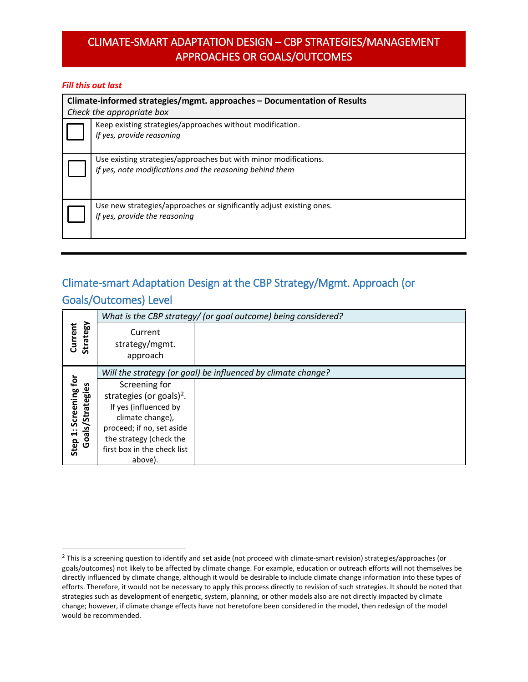## CLIMATE-SMART ADAPTATION DESIGN – CBP STRATEGIES/MANAGEMENT APPROACHES OR GOALS/OUTCOMES

#### *Fill this out last*

| Climate-informed strategies/mgmt. approaches - Documentation of Results<br>Check the appropriate box |                                                                                                                              |  |
|------------------------------------------------------------------------------------------------------|------------------------------------------------------------------------------------------------------------------------------|--|
|                                                                                                      | Keep existing strategies/approaches without modification.<br>If yes, provide reasoning                                       |  |
|                                                                                                      | Use existing strategies/approaches but with minor modifications.<br>If yes, note modifications and the reasoning behind them |  |
|                                                                                                      | Use new strategies/approaches or significantly adjust existing ones.<br>If yes, provide the reasoning                        |  |

# Climate-smart Adaptation Design at the CBP Strategy/Mgmt. Approach (or Goals/Outcomes) Level

|                                          |                                       | What is the CBP strategy/ (or goal outcome) being considered? |
|------------------------------------------|---------------------------------------|---------------------------------------------------------------|
| Strategy<br>Current                      | Current<br>strategy/mgmt.<br>approach |                                                               |
|                                          |                                       | Will the strategy (or goal) be influenced by climate change?  |
| s                                        | Screening for                         |                                                               |
|                                          | strategies (or goals) <sup>2</sup> .  |                                                               |
|                                          | If yes (influenced by                 |                                                               |
|                                          | climate change),                      |                                                               |
|                                          | proceed; if no, set aside             |                                                               |
| Step 1: Screening for<br>Goals/Strategie | the strategy (check the               |                                                               |
|                                          | first box in the check list           |                                                               |
|                                          | above).                               |                                                               |

<span id="page-5-0"></span> $2$  This is a screening question to identify and set aside (not proceed with climate-smart revision) strategies/approaches (or goals/outcomes) not likely to be affected by climate change. For example, education or outreach efforts will not themselves be directly influenced by climate change, although it would be desirable to include climate change information into these types of efforts. Therefore, it would not be necessary to apply this process directly to revision of such strategies. It should be noted that strategies such as development of energetic, system, planning, or other models also are not directly impacted by climate change; however, if climate change effects have not heretofore been considered in the model, then redesign of the model would be recommended.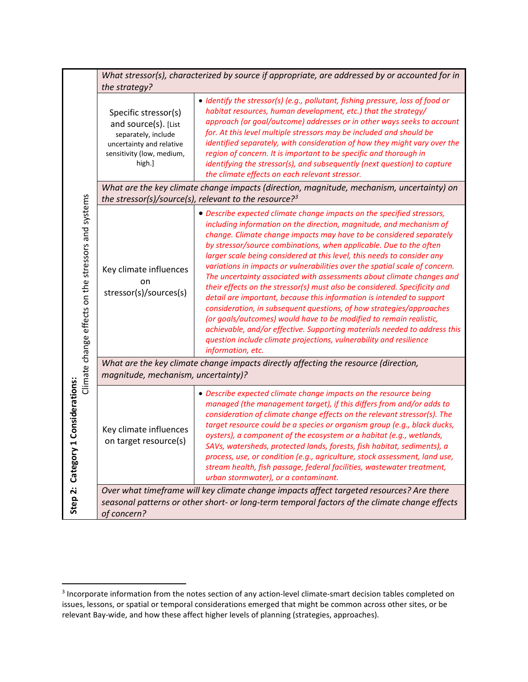|                                                                                              | the strategy?                                                                                                                          | What stressor(s), characterized by source if appropriate, are addressed by or accounted for in                                                                                                                                                                                                                                                                                                                                                                                                                                                                                                                                                                                                                                                                                                                                                                                                                                                                                                            |
|----------------------------------------------------------------------------------------------|----------------------------------------------------------------------------------------------------------------------------------------|-----------------------------------------------------------------------------------------------------------------------------------------------------------------------------------------------------------------------------------------------------------------------------------------------------------------------------------------------------------------------------------------------------------------------------------------------------------------------------------------------------------------------------------------------------------------------------------------------------------------------------------------------------------------------------------------------------------------------------------------------------------------------------------------------------------------------------------------------------------------------------------------------------------------------------------------------------------------------------------------------------------|
|                                                                                              | Specific stressor(s)<br>and source(s). [List<br>separately, include<br>uncertainty and relative<br>sensitivity (low, medium,<br>high.] | • Identify the stressor(s) (e.g., pollutant, fishing pressure, loss of food or<br>habitat resources, human development, etc.) that the strategy/<br>approach (or goal/outcome) addresses or in other ways seeks to account<br>for. At this level multiple stressors may be included and should be<br>identified separately, with consideration of how they might vary over the<br>region of concern. It is important to be specific and thorough in<br>identifying the stressor(s), and subsequently (next question) to capture<br>the climate effects on each relevant stressor.                                                                                                                                                                                                                                                                                                                                                                                                                         |
|                                                                                              |                                                                                                                                        | What are the key climate change impacts (direction, magnitude, mechanism, uncertainty) on<br>the stressor(s)/source(s), relevant to the resource? <sup>3</sup>                                                                                                                                                                                                                                                                                                                                                                                                                                                                                                                                                                                                                                                                                                                                                                                                                                            |
| Climate change effects on the stressors and systems<br>1 Considerations:<br>Step 2: Category | Key climate influences<br>on<br>stressor(s)/sources(s)                                                                                 | • Describe expected climate change impacts on the specified stressors,<br>including information on the direction, magnitude, and mechanism of<br>change. Climate change impacts may have to be considered separately<br>by stressor/source combinations, when applicable. Due to the often<br>larger scale being considered at this level, this needs to consider any<br>variations in impacts or vulnerabilities over the spatial scale of concern.<br>The uncertainty associated with assessments about climate changes and<br>their effects on the stressor(s) must also be considered. Specificity and<br>detail are important, because this information is intended to support<br>consideration, in subsequent questions, of how strategies/approaches<br>(or goals/outcomes) would have to be modified to remain realistic,<br>achievable, and/or effective. Supporting materials needed to address this<br>question include climate projections, vulnerability and resilience<br>information, etc. |
|                                                                                              | What are the key climate change impacts directly affecting the resource (direction,<br>magnitude, mechanism, uncertainty)?             |                                                                                                                                                                                                                                                                                                                                                                                                                                                                                                                                                                                                                                                                                                                                                                                                                                                                                                                                                                                                           |
|                                                                                              | Key climate influences<br>on target resource(s)                                                                                        | • Describe expected climate change impacts on the resource being<br>managed (the management target), if this differs from and/or adds to<br>consideration of climate change effects on the relevant stressor(s). The<br>target resource could be a species or organism group (e.g., black ducks,<br>oysters), a component of the ecosystem or a habitat (e.g., wetlands,<br>SAVs, watersheds, protected lands, forests, fish habitat, sediments), a<br>process, use, or condition (e.g., agriculture, stock assessment, land use,<br>stream health, fish passage, federal facilities, wastewater treatment,<br>urban stormwater), or a contaminant.                                                                                                                                                                                                                                                                                                                                                       |
|                                                                                              | of concern?                                                                                                                            | Over what timeframe will key climate change impacts affect targeted resources? Are there<br>seasonal patterns or other short- or long-term temporal factors of the climate change effects                                                                                                                                                                                                                                                                                                                                                                                                                                                                                                                                                                                                                                                                                                                                                                                                                 |

<span id="page-6-0"></span><sup>&</sup>lt;sup>3</sup> Incorporate information from the notes section of any action-level climate-smart decision tables completed on issues, lessons, or spatial or temporal considerations emerged that might be common across other sites, or be relevant Bay-wide, and how these affect higher levels of planning (strategies, approaches).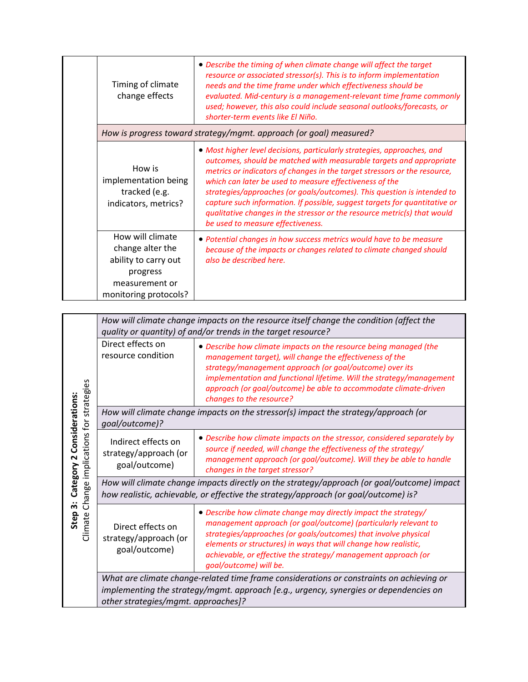| Timing of climate<br>change effects                                                                                 | • Describe the timing of when climate change will affect the target<br>resource or associated stressor(s). This is to inform implementation<br>needs and the time frame under which effectiveness should be<br>evaluated. Mid-century is a management-relevant time frame commonly<br>used; however, this also could include seasonal outlooks/forecasts, or<br>shorter-term events like El Niño.                                                                                                                                                                |
|---------------------------------------------------------------------------------------------------------------------|------------------------------------------------------------------------------------------------------------------------------------------------------------------------------------------------------------------------------------------------------------------------------------------------------------------------------------------------------------------------------------------------------------------------------------------------------------------------------------------------------------------------------------------------------------------|
|                                                                                                                     | How is progress toward strategy/mgmt. approach (or goal) measured?                                                                                                                                                                                                                                                                                                                                                                                                                                                                                               |
| How is<br>implementation being<br>tracked (e.g.<br>indicators, metrics?                                             | • Most higher level decisions, particularly strategies, approaches, and<br>outcomes, should be matched with measurable targets and appropriate<br>metrics or indicators of changes in the target stressors or the resource,<br>which can later be used to measure effectiveness of the<br>strategies/approaches (or goals/outcomes). This question is intended to<br>capture such information. If possible, suggest targets for quantitative or<br>qualitative changes in the stressor or the resource metric(s) that would<br>be used to measure effectiveness. |
| How will climate<br>change alter the<br>ability to carry out<br>progress<br>measurement or<br>monitoring protocols? | • Potential changes in how success metrics would have to be measure<br>because of the impacts or changes related to climate changed should<br>also be described here.                                                                                                                                                                                                                                                                                                                                                                                            |

|                                                                                           |                                                                                                                                                                                   | How will climate change impacts on the resource itself change the condition (affect the<br>quality or quantity) of and/or trends in the target resource?                                                                                                                                                                                                             |
|-------------------------------------------------------------------------------------------|-----------------------------------------------------------------------------------------------------------------------------------------------------------------------------------|----------------------------------------------------------------------------------------------------------------------------------------------------------------------------------------------------------------------------------------------------------------------------------------------------------------------------------------------------------------------|
|                                                                                           | Direct effects on<br>resource condition                                                                                                                                           | • Describe how climate impacts on the resource being managed (the<br>management target), will change the effectiveness of the<br>strategy/management approach (or goal/outcome) over its<br>implementation and functional lifetime. Will the strategy/management<br>approach (or goal/outcome) be able to accommodate climate-driven<br>changes to the resource?     |
|                                                                                           | How will climate change impacts on the stressor(s) impact the strategy/approach (or<br>goal/outcome)?                                                                             |                                                                                                                                                                                                                                                                                                                                                                      |
| Change implications for strategies<br>Category 2 Considerations:<br>က်<br>Step<br>Climate | Indirect effects on<br>strategy/approach (or<br>goal/outcome)                                                                                                                     | • Describe how climate impacts on the stressor, considered separately by<br>source if needed, will change the effectiveness of the strategy/<br>management approach (or goal/outcome). Will they be able to handle<br>changes in the target stressor?                                                                                                                |
|                                                                                           | How will climate change impacts directly on the strategy/approach (or goal/outcome) impact<br>how realistic, achievable, or effective the strategy/approach (or goal/outcome) is? |                                                                                                                                                                                                                                                                                                                                                                      |
|                                                                                           | Direct effects on<br>strategy/approach (or<br>goal/outcome)                                                                                                                       | • Describe how climate change may directly impact the strategy/<br>management approach (or goal/outcome) (particularly relevant to<br>strategies/approaches (or goals/outcomes) that involve physical<br>elements or structures) in ways that will change how realistic,<br>achievable, or effective the strategy/ management approach (or<br>goal/outcome) will be. |
|                                                                                           | other strategies/mgmt. approaches]?                                                                                                                                               | What are climate change-related time frame considerations or constraints on achieving or<br>implementing the strategy/mgmt. approach [e.g., urgency, synergies or dependencies on                                                                                                                                                                                    |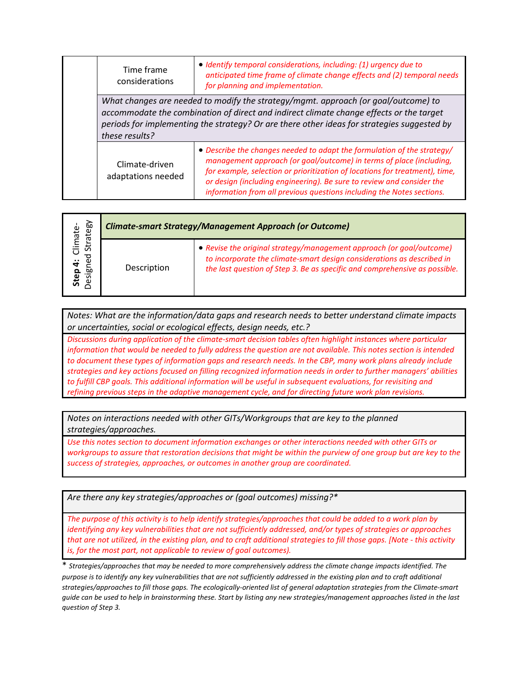| Time frame<br>considerations                                                                                                                                                                                                                                                                   | • Identify temporal considerations, including: (1) urgency due to<br>anticipated time frame of climate change effects and (2) temporal needs<br>for planning and implementation.                                                                                                                                                                                                |
|------------------------------------------------------------------------------------------------------------------------------------------------------------------------------------------------------------------------------------------------------------------------------------------------|---------------------------------------------------------------------------------------------------------------------------------------------------------------------------------------------------------------------------------------------------------------------------------------------------------------------------------------------------------------------------------|
| What changes are needed to modify the strategy/mgmt. approach (or goal/outcome) to<br>accommodate the combination of direct and indirect climate change effects or the target<br>periods for implementing the strategy? Or are there other ideas for strategies suggested by<br>these results? |                                                                                                                                                                                                                                                                                                                                                                                 |
| Climate-driven<br>adaptations needed                                                                                                                                                                                                                                                           | • Describe the changes needed to adapt the formulation of the strategy/<br>management approach (or goal/outcome) in terms of place (including,<br>for example, selection or prioritization of locations for treatment), time,<br>or design (including engineering). Be sure to review and consider the<br>information from all previous questions including the Notes sections. |

| rategy<br>Ta<br>Climate       | <b>Climate-smart Strategy/Management Approach (or Outcome)</b> |                                                                                                                                                                                                                              |
|-------------------------------|----------------------------------------------------------------|------------------------------------------------------------------------------------------------------------------------------------------------------------------------------------------------------------------------------|
| 5F<br>ರ<br>ω<br>Step<br>Desig | Description                                                    | • Revise the original strategy/management approach (or goal/outcome)<br>to incorporate the climate-smart design considerations as described in<br>the last question of Step 3. Be as specific and comprehensive as possible. |

*Notes: What are the information/data gaps and research needs to better understand climate impacts or uncertainties, social or ecological effects, design needs, etc.?*

*Discussions during application of the climate-smart decision tables often highlight instances where particular information that would be needed to fully address the question are not available. This notes section is intended to document these types of information gaps and research needs. In the CBP, many work plans already include strategies and key actions focused on filling recognized information needs in order to further managers' abilities to fulfill CBP goals. This additional information will be useful in subsequent evaluations, for revisiting and refining previous steps in the adaptive management cycle, and for directing future work plan revisions.*

*Notes on interactions needed with other GITs/Workgroups that are key to the planned strategies/approaches.*

*Use this notes section to document information exchanges or other interactions needed with other GITs or workgroups to assure that restoration decisions that might be within the purview of one group but are key to the success of strategies, approaches, or outcomes in another group are coordinated.*

*Are there any key strategies/approaches or (goal outcomes) missing?\**

*The purpose of this activity is to help identify strategies/approaches that could be added to a work plan by identifying any key vulnerabilities that are not sufficiently addressed, and/or types of strategies or approaches that are not utilized, in the existing plan, and to craft additional strategies to fill those gaps. [Note - this activity is, for the most part, not applicable to review of goal outcomes).*

\* *Strategies/approaches that may be needed to more comprehensively address the climate change impacts identified. The purpose is to identify any key vulnerabilities that are not sufficiently addressed in the existing plan and to craft additional strategies/approaches to fill those gaps. The ecologically-oriented list of general adaptation strategies from the Climate-smart guide can be used to help in brainstorming these. Start by listing any new strategies/management approaches listed in the last question of Step 3.*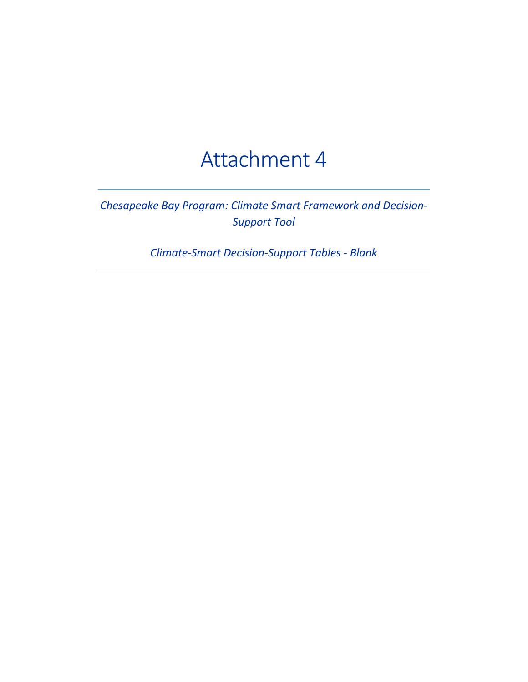# Attachment 4

# *Chesapeake Bay Program: Climate Smart Framework and Decision-Support Tool*

*Climate-Smart Decision-Support Tables - Blank*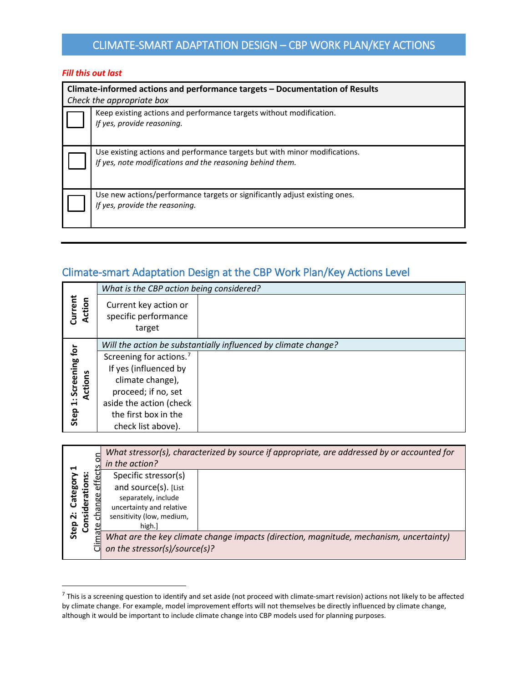# CLIMATE-SMART ADAPTATION DESIGN – CBP WORK PLAN/KEY ACTIONS

#### *Fill this out last*

 $\overline{a}$ 

| Climate-informed actions and performance targets – Documentation of Results<br>Check the appropriate box                                |  |  |
|-----------------------------------------------------------------------------------------------------------------------------------------|--|--|
| Keep existing actions and performance targets without modification.<br>If yes, provide reasoning.                                       |  |  |
| Use existing actions and performance targets but with minor modifications.<br>If yes, note modifications and the reasoning behind them. |  |  |
| Use new actions/performance targets or significantly adjust existing ones.<br>If yes, provide the reasoning.                            |  |  |

# Climate-smart Adaptation Design at the CBP Work Plan/Key Actions Level

|                             | What is the CBP action being considered?                |                                                                |
|-----------------------------|---------------------------------------------------------|----------------------------------------------------------------|
| Current<br>Action           | Current key action or<br>specific performance<br>target |                                                                |
|                             |                                                         | Will the action be substantially influenced by climate change? |
|                             | Screening for actions. <sup>7</sup>                     |                                                                |
| 1: Screening for<br>Actions | If yes (influenced by                                   |                                                                |
|                             | climate change),                                        |                                                                |
|                             | proceed; if no, set                                     |                                                                |
|                             | aside the action (check                                 |                                                                |
| Step                        | the first box in the                                    |                                                                |
|                             | check list above).                                      |                                                                |

| ā<br>⊣<br>effec<br><u>ö</u><br>Categor<br>leratio<br>Я<br>nsid<br>ä<br>Step<br>ပိ |     | in the action?                | What stressor(s), characterized by source if appropriate, are addressed by or accounted for |
|-----------------------------------------------------------------------------------|-----|-------------------------------|---------------------------------------------------------------------------------------------|
|                                                                                   |     | Specific stressor(s)          |                                                                                             |
|                                                                                   |     | and source(s). [List          |                                                                                             |
|                                                                                   | မ္မ | separately, include           |                                                                                             |
|                                                                                   |     | uncertainty and relative      |                                                                                             |
|                                                                                   |     | sensitivity (low, medium,     |                                                                                             |
|                                                                                   |     | high.]                        |                                                                                             |
|                                                                                   | ξ   |                               | What are the key climate change impacts (direction, magnitude, mechanism, uncertainty)      |
|                                                                                   |     | on the stressor(s)/source(s)? |                                                                                             |

<span id="page-10-0"></span> $7$  This is a screening question to identify and set aside (not proceed with climate-smart revision) actions not likely to be affected by climate change. For example, model improvement efforts will not themselves be directly influenced by climate change, although it would be important to include climate change into CBP models used for planning purposes.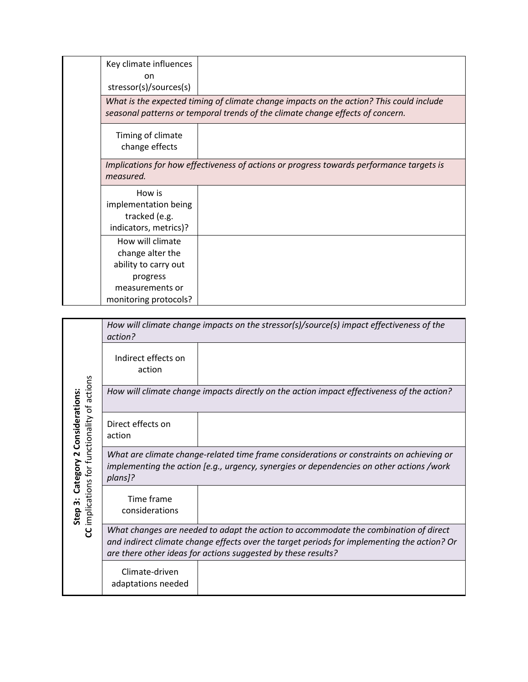| Key climate influences<br>on<br>stressor(s)/sources(s)                   |                                                                                                                                                                           |
|--------------------------------------------------------------------------|---------------------------------------------------------------------------------------------------------------------------------------------------------------------------|
|                                                                          | What is the expected timing of climate change impacts on the action? This could include<br>seasonal patterns or temporal trends of the climate change effects of concern. |
| Timing of climate<br>change effects                                      |                                                                                                                                                                           |
| measured.                                                                | Implications for how effectiveness of actions or progress towards performance targets is                                                                                  |
| How is<br>implementation being<br>tracked (e.g.<br>indicators, metrics)? |                                                                                                                                                                           |
| How will climate<br>change alter the<br>ability to carry out             |                                                                                                                                                                           |
| progress<br>measurements or<br>monitoring protocols?                     |                                                                                                                                                                           |

|                                                                            | How will climate change impacts on the stressor(s)/source(s) impact effectiveness of the<br>action?                                                                                                                                                  |  |  |
|----------------------------------------------------------------------------|------------------------------------------------------------------------------------------------------------------------------------------------------------------------------------------------------------------------------------------------------|--|--|
| of actions<br>Category 2 Considerations:<br>implications for functionality | Indirect effects on<br>action                                                                                                                                                                                                                        |  |  |
|                                                                            | How will climate change impacts directly on the action impact effectiveness of the action?                                                                                                                                                           |  |  |
|                                                                            | Direct effects on<br>action                                                                                                                                                                                                                          |  |  |
|                                                                            | What are climate change-related time frame considerations or constraints on achieving or<br>implementing the action [e.g., urgency, synergies or dependencies on other actions /work<br>plans]?                                                      |  |  |
| Step 3:                                                                    | Time frame<br>considerations                                                                                                                                                                                                                         |  |  |
| ႘                                                                          | What changes are needed to adapt the action to accommodate the combination of direct<br>and indirect climate change effects over the target periods for implementing the action? Or<br>are there other ideas for actions suggested by these results? |  |  |
|                                                                            | Climate-driven<br>adaptations needed                                                                                                                                                                                                                 |  |  |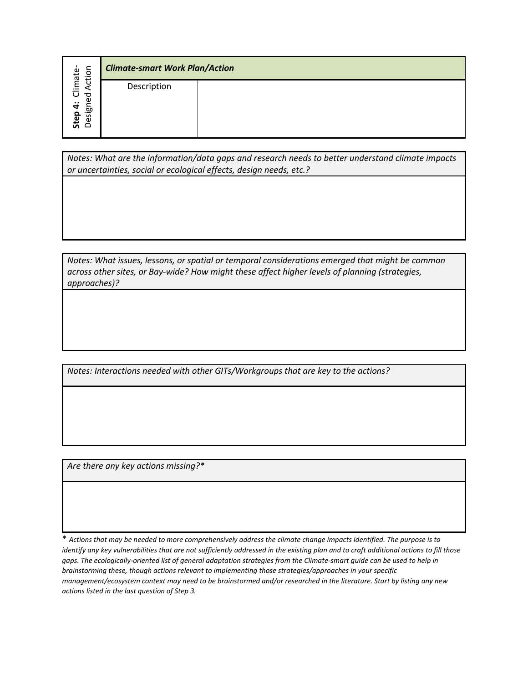|                                                 | <b>Climate-smart Work Plan/Action</b> |  |
|-------------------------------------------------|---------------------------------------|--|
| Climate-<br>d Action<br>ဥ<br>Step 4:<br>Designo | Description                           |  |

*Notes: What are the information/data gaps and research needs to better understand climate impacts or uncertainties, social or ecological effects, design needs, etc.?*

*Notes: What issues, lessons, or spatial or temporal considerations emerged that might be common across other sites, or Bay-wide? How might these affect higher levels of planning (strategies, approaches)?*

*Notes: Interactions needed with other GITs/Workgroups that are key to the actions?*

*Are there any key actions missing?\**

\* *Actions that may be needed to more comprehensively address the climate change impacts identified. The purpose is to identify any key vulnerabilities that are not sufficiently addressed in the existing plan and to craft additional actions to fill those gaps. The ecologically-oriented list of general adaptation strategies from the Climate-smart guide can be used to help in brainstorming these, though actions relevant to implementing those strategies/approaches in your specific management/ecosystem context may need to be brainstormed and/or researched in the literature. Start by listing any new actions listed in the last question of Step 3.*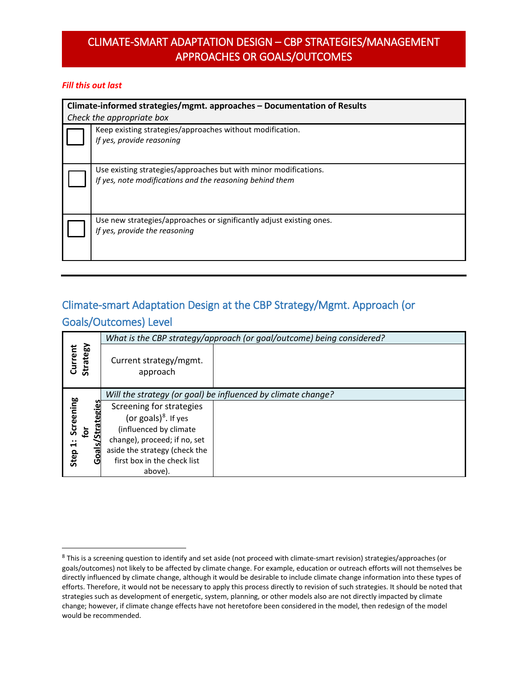## CLIMATE-SMART ADAPTATION DESIGN – CBP STRATEGIES/MANAGEMENT APPROACHES OR GOALS/OUTCOMES

### *Fill this out last*

| Climate-informed strategies/mgmt. approaches - Documentation of Results<br>Check the appropriate box                         |  |  |
|------------------------------------------------------------------------------------------------------------------------------|--|--|
| Keep existing strategies/approaches without modification.<br>If yes, provide reasoning                                       |  |  |
| Use existing strategies/approaches but with minor modifications.<br>If yes, note modifications and the reasoning behind them |  |  |
| Use new strategies/approaches or significantly adjust existing ones.<br>If yes, provide the reasoning                        |  |  |

# Climate-smart Adaptation Design at the CBP Strategy/Mgmt. Approach (or

### Goals/Outcomes) Level

|                     |                                              | What is the CBP strategy/approach (or goal/outcome) being considered? |
|---------------------|----------------------------------------------|-----------------------------------------------------------------------|
| Strategy<br>Current | Current strategy/mgmt.<br>approach           |                                                                       |
|                     |                                              | Will the strategy (or goal) be influenced by climate change?          |
| Screening           | egies<br>Screening for strategies            |                                                                       |
|                     | (or goals) $8$ . If yes                      |                                                                       |
| ݹ                   | /Strat<br>(influenced by climate             |                                                                       |
| $\ddot{ }$          | change), proceed; if no, set                 |                                                                       |
|                     | <u>Goal</u><br>aside the strategy (check the |                                                                       |
| Step                | first box in the check list                  |                                                                       |
|                     | above).                                      |                                                                       |

<span id="page-13-0"></span><sup>&</sup>lt;sup>8</sup> This is a screening question to identify and set aside (not proceed with climate-smart revision) strategies/approaches (or goals/outcomes) not likely to be affected by climate change. For example, education or outreach efforts will not themselves be directly influenced by climate change, although it would be desirable to include climate change information into these types of efforts. Therefore, it would not be necessary to apply this process directly to revision of such strategies. It should be noted that strategies such as development of energetic, system, planning, or other models also are not directly impacted by climate change; however, if climate change effects have not heretofore been considered in the model, then redesign of the model would be recommended.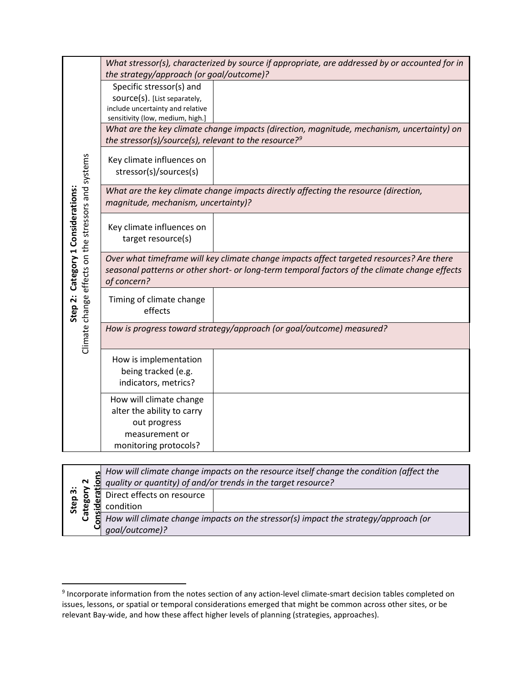|                                                                                           |                                                                                                                                                                | What stressor(s), characterized by source if appropriate, are addressed by or accounted for in |  |
|-------------------------------------------------------------------------------------------|----------------------------------------------------------------------------------------------------------------------------------------------------------------|------------------------------------------------------------------------------------------------|--|
|                                                                                           | the strategy/approach (or goal/outcome)?                                                                                                                       |                                                                                                |  |
|                                                                                           | Specific stressor(s) and                                                                                                                                       |                                                                                                |  |
|                                                                                           | source(s). [List separately,                                                                                                                                   |                                                                                                |  |
|                                                                                           | include uncertainty and relative                                                                                                                               |                                                                                                |  |
|                                                                                           | sensitivity (low, medium, high.]                                                                                                                               |                                                                                                |  |
|                                                                                           | What are the key climate change impacts (direction, magnitude, mechanism, uncertainty) on<br>the stressor(s)/source(s), relevant to the resource? <sup>9</sup> |                                                                                                |  |
|                                                                                           |                                                                                                                                                                |                                                                                                |  |
|                                                                                           | Key climate influences on                                                                                                                                      |                                                                                                |  |
|                                                                                           | stressor(s)/sources(s)                                                                                                                                         |                                                                                                |  |
|                                                                                           |                                                                                                                                                                | What are the key climate change impacts directly affecting the resource (direction,            |  |
| Climate change effects on the stressors and systems<br>Step 2: Category 1 Considerations: | magnitude, mechanism, uncertainty)?                                                                                                                            |                                                                                                |  |
|                                                                                           |                                                                                                                                                                |                                                                                                |  |
|                                                                                           | Key climate influences on                                                                                                                                      |                                                                                                |  |
|                                                                                           | target resource(s)                                                                                                                                             |                                                                                                |  |
|                                                                                           | Over what timeframe will key climate change impacts affect targeted resources? Are there                                                                       |                                                                                                |  |
|                                                                                           |                                                                                                                                                                | seasonal patterns or other short- or long-term temporal factors of the climate change effects  |  |
|                                                                                           | of concern?                                                                                                                                                    |                                                                                                |  |
|                                                                                           | Timing of climate change                                                                                                                                       |                                                                                                |  |
|                                                                                           | effects                                                                                                                                                        |                                                                                                |  |
|                                                                                           |                                                                                                                                                                | How is progress toward strategy/approach (or goal/outcome) measured?                           |  |
|                                                                                           |                                                                                                                                                                |                                                                                                |  |
|                                                                                           |                                                                                                                                                                |                                                                                                |  |
|                                                                                           | How is implementation                                                                                                                                          |                                                                                                |  |
|                                                                                           | being tracked (e.g.                                                                                                                                            |                                                                                                |  |
|                                                                                           | indicators, metrics?                                                                                                                                           |                                                                                                |  |
|                                                                                           | How will climate change                                                                                                                                        |                                                                                                |  |
|                                                                                           | alter the ability to carry                                                                                                                                     |                                                                                                |  |
|                                                                                           | out progress                                                                                                                                                   |                                                                                                |  |
|                                                                                           | measurement or                                                                                                                                                 |                                                                                                |  |
|                                                                                           | monitoring protocols?                                                                                                                                          |                                                                                                |  |
|                                                                                           |                                                                                                                                                                |                                                                                                |  |

| ທ<br>N<br>Step 3:<br>Catego<br>ъ | How will climate change impacts on the resource itself change the condition (affect the<br>quality or quantity) of and/or trends in the target resource? |                                                                                                         |
|----------------------------------|----------------------------------------------------------------------------------------------------------------------------------------------------------|---------------------------------------------------------------------------------------------------------|
|                                  | Direct effects on resource<br>condition                                                                                                                  |                                                                                                         |
|                                  | goal/outcome)?                                                                                                                                           | $\ddot{\mathbf{z}}$ How will climate change impacts on the stressor(s) impact the strategy/approach (or |

<span id="page-14-0"></span> <sup>9</sup> Incorporate information from the notes section of any action-level climate-smart decision tables completed on issues, lessons, or spatial or temporal considerations emerged that might be common across other sites, or be relevant Bay-wide, and how these affect higher levels of planning (strategies, approaches).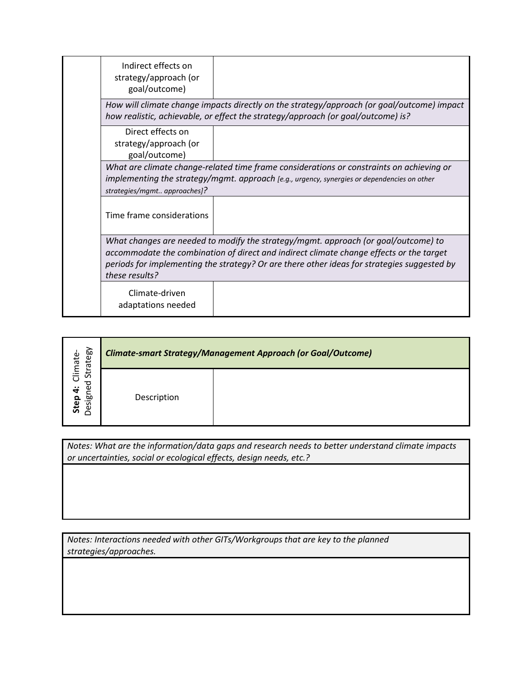| Indirect effects on<br>strategy/approach (or<br>goal/outcome)                                                                                                                                                                                                                                  |  |  |
|------------------------------------------------------------------------------------------------------------------------------------------------------------------------------------------------------------------------------------------------------------------------------------------------|--|--|
| How will climate change impacts directly on the strategy/approach (or goal/outcome) impact<br>how realistic, achievable, or effect the strategy/approach (or goal/outcome) is?                                                                                                                 |  |  |
| Direct effects on<br>strategy/approach (or<br>goal/outcome)                                                                                                                                                                                                                                    |  |  |
| What are climate change-related time frame considerations or constraints on achieving or<br>implementing the strategy/mgmt. approach [e.g., urgency, synergies or dependencies on other<br>strategies/mgmt approaches]?                                                                        |  |  |
| Time frame considerations                                                                                                                                                                                                                                                                      |  |  |
| What changes are needed to modify the strategy/mgmt. approach (or goal/outcome) to<br>accommodate the combination of direct and indirect climate change effects or the target<br>periods for implementing the strategy? Or are there other ideas for strategies suggested by<br>these results? |  |  |
| Climate-driven<br>adaptations needed                                                                                                                                                                                                                                                           |  |  |

| rategy<br>Climate-<br>ದ<br>ဥ<br>$\ddot{ }$<br>ᅘ<br>Step<br>$\cdot$ $-$<br>හි<br>$\subset$ | <b>Climate-smart Strategy/Management Approach (or Goal/Outcome)</b> |  |
|-------------------------------------------------------------------------------------------|---------------------------------------------------------------------|--|
|                                                                                           | Description                                                         |  |

*Notes: What are the information/data gaps and research needs to better understand climate impacts or uncertainties, social or ecological effects, design needs, etc.?*

*Notes: Interactions needed with other GITs/Workgroups that are key to the planned strategies/approaches.*